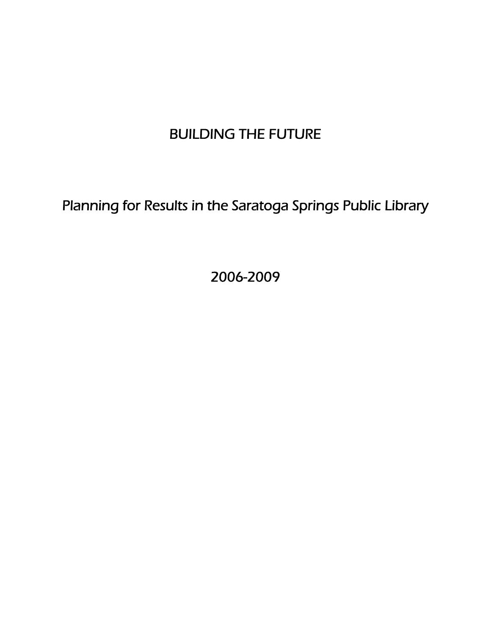# BUILDING THE FUTURE

Planning for Results in the Saratoga Springs Public Library

2006-2009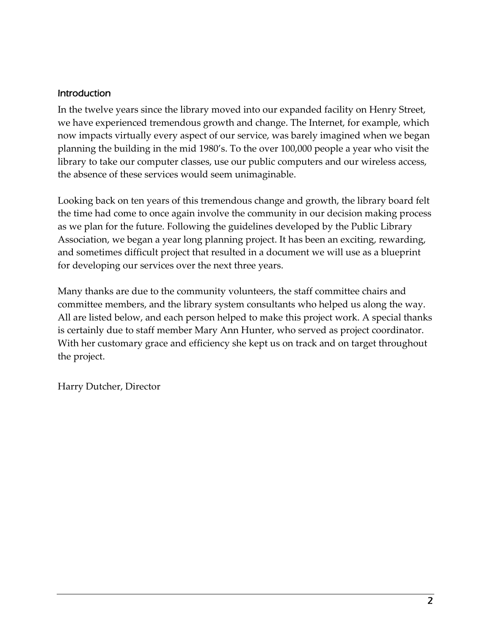#### Introduction

In the twelve years since the library moved into our expanded facility on Henry Street, we have experienced tremendous growth and change. The Internet, for example, which now impacts virtually every aspect of our service, was barely imagined when we began planning the building in the mid 1980's. To the over 100,000 people a year who visit the library to take our computer classes, use our public computers and our wireless access, the absence of these services would seem unimaginable.

Looking back on ten years of this tremendous change and growth, the library board felt the time had come to once again involve the community in our decision making process as we plan for the future. Following the guidelines developed by the Public Library Association, we began a year long planning project. It has been an exciting, rewarding, and sometimes difficult project that resulted in a document we will use as a blueprint for developing our services over the next three years.

Many thanks are due to the community volunteers, the staff committee chairs and committee members, and the library system consultants who helped us along the way. All are listed below, and each person helped to make this project work. A special thanks is certainly due to staff member Mary Ann Hunter, who served as project coordinator. With her customary grace and efficiency she kept us on track and on target throughout the project.

Harry Dutcher, Director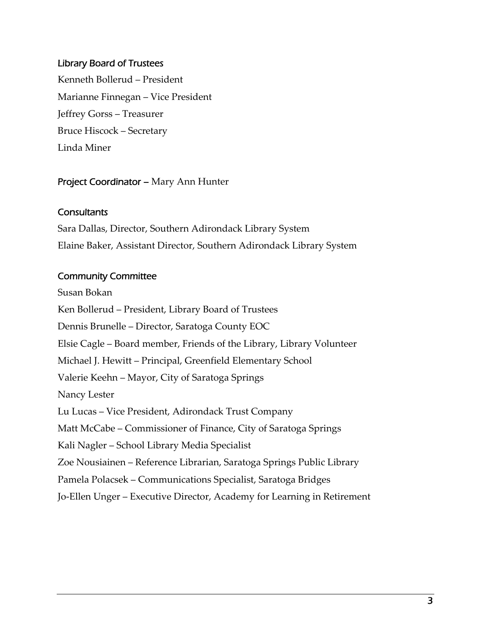#### Library Board of Trustees

Kenneth Bollerud – President Marianne Finnegan – Vice President Jeffrey Gorss – Treasurer Bruce Hiscock – Secretary Linda Miner

#### Project Coordinator – Mary Ann Hunter

#### **Consultants**

Sara Dallas, Director, Southern Adirondack Library System Elaine Baker, Assistant Director, Southern Adirondack Library System

#### Community Committee

Susan Bokan Ken Bollerud – President, Library Board of Trustees Dennis Brunelle – Director, Saratoga County EOC Elsie Cagle – Board member, Friends of the Library, Library Volunteer Michael J. Hewitt – Principal, Greenfield Elementary School Valerie Keehn – Mayor, City of Saratoga Springs Nancy Lester Lu Lucas – Vice President, Adirondack Trust Company Matt McCabe – Commissioner of Finance, City of Saratoga Springs Kali Nagler – School Library Media Specialist Zoe Nousiainen – Reference Librarian, Saratoga Springs Public Library Pamela Polacsek – Communications Specialist, Saratoga Bridges Jo‐Ellen Unger – Executive Director, Academy for Learning in Retirement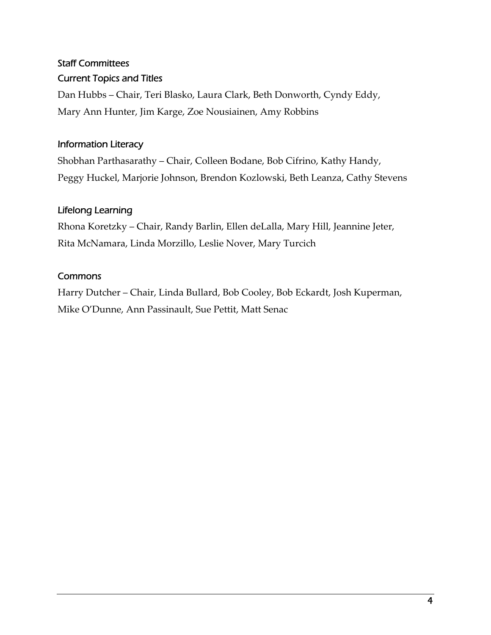# Staff Committees Current Topics and Titles

Dan Hubbs – Chair, Teri Blasko, Laura Clark, Beth Donworth, Cyndy Eddy, Mary Ann Hunter, Jim Karge, Zoe Nousiainen, Amy Robbins

### Information Literacy

Shobhan Parthasarathy – Chair, Colleen Bodane, Bob Cifrino, Kathy Handy, Peggy Huckel, Marjorie Johnson, Brendon Kozlowski, Beth Leanza, Cathy Stevens

### Lifelong Learning

Rhona Koretzky – Chair, Randy Barlin, Ellen deLalla, Mary Hill, Jeannine Jeter, Rita McNamara, Linda Morzillo, Leslie Nover, Mary Turcich

### **Commons**

Harry Dutcher – Chair, Linda Bullard, Bob Cooley, Bob Eckardt, Josh Kuperman, Mike O'Dunne, Ann Passinault, Sue Pettit, Matt Senac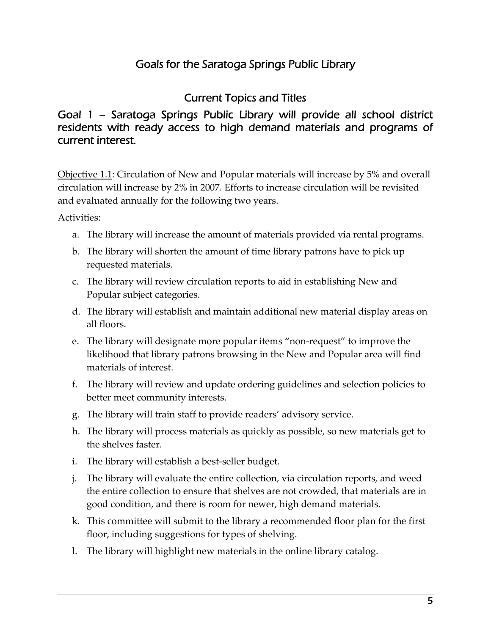# Goals for the Saratoga Springs Public Library

# Current Topics and Titles

### Goal 1 – Saratoga Springs Public Library will provide all school district residents with ready access to high demand materials and programs of current interest.

Objective 1.1: Circulation of New and Popular materials will increase by 5% and overall circulation will increase by 2% in 2007. Efforts to increase circulation will be revisited and evaluated annually for the following two years.

- a. The library will increase the amount of materials provided via rental programs.
- b. The library will shorten the amount of time library patrons have to pick up requested materials.
- c. The library will review circulation reports to aid in establishing New and Popular subject categories.
- d. The library will establish and maintain additional new material display areas on all floors.
- e. The library will designate more popular items "non‐request" to improve the likelihood that library patrons browsing in the New and Popular area will find materials of interest.
- f. The library will review and update ordering guidelines and selection policies to better meet community interests.
- g. The library will train staff to provide readers' advisory service.
- h. The library will process materials as quickly as possible, so new materials get to the shelves faster.
- i. The library will establish a best-seller budget.
- j. The library will evaluate the entire collection, via circulation reports, and weed the entire collection to ensure that shelves are not crowded, that materials are in good condition, and there is room for newer, high demand materials.
- k. This committee will submit to the library a recommended floor plan for the first floor, including suggestions for types of shelving.
- l. The library will highlight new materials in the online library catalog.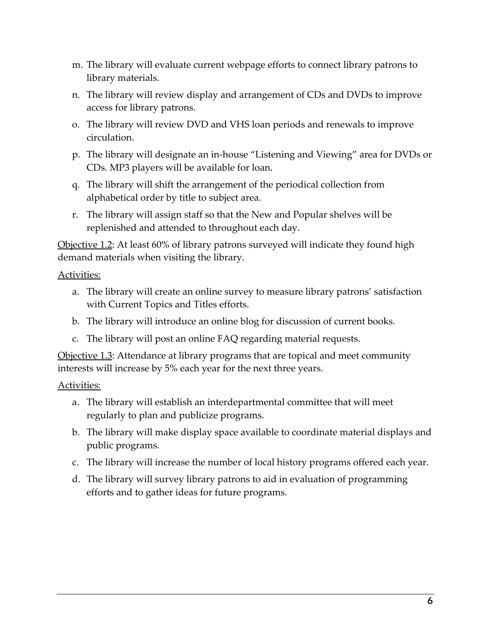- m. The library will evaluate current webpage efforts to connect library patrons to library materials.
- n. The library will review display and arrangement of CDs and DVDs to improve access for library patrons.
- o. The library will review DVD and VHS loan periods and renewals to improve circulation.
- p. The library will designate an in‐house "Listening and Viewing" area for DVDs or CDs. MP3 players will be available for loan.
- q. The library will shift the arrangement of the periodical collection from alphabetical order by title to subject area.
- r. The library will assign staff so that the New and Popular shelves will be replenished and attended to throughout each day.

Objective 1.2: At least 60% of library patrons surveyed will indicate they found high demand materials when visiting the library.

Activities:

- a. The library will create an online survey to measure library patrons' satisfaction with Current Topics and Titles efforts.
- b. The library will introduce an online blog for discussion of current books.
- c. The library will post an online FAQ regarding material requests.

Objective 1.3: Attendance at library programs that are topical and meet community interests will increase by 5% each year for the next three years.

- a. The library will establish an interdepartmental committee that will meet regularly to plan and publicize programs.
- b. The library will make display space available to coordinate material displays and public programs.
- c. The library will increase the number of local history programs offered each year.
- d. The library will survey library patrons to aid in evaluation of programming efforts and to gather ideas for future programs.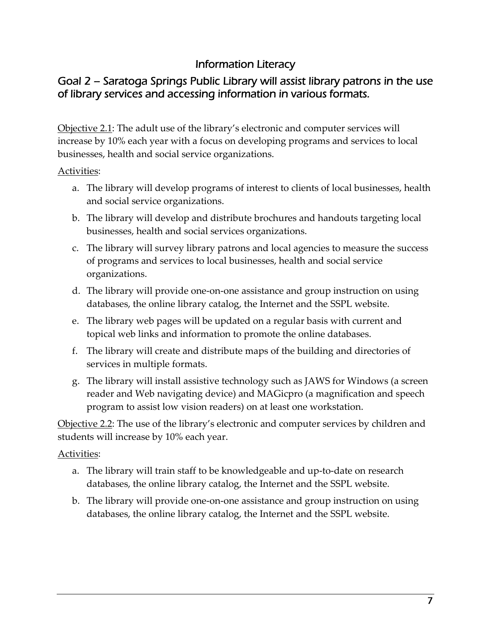# Information Literacy

## Goal 2 – Saratoga Springs Public Library will assist library patrons in the use of library services and accessing information in various formats.

Objective 2.1: The adult use of the library's electronic and computer services will increase by 10% each year with a focus on developing programs and services to local businesses, health and social service organizations.

#### Activities:

- a. The library will develop programs of interest to clients of local businesses, health and social service organizations.
- b. The library will develop and distribute brochures and handouts targeting local businesses, health and social services organizations.
- c. The library will survey library patrons and local agencies to measure the success of programs and services to local businesses, health and social service organizations.
- d. The library will provide one‐on‐one assistance and group instruction on using databases, the online library catalog, the Internet and the SSPL website.
- e. The library web pages will be updated on a regular basis with current and topical web links and information to promote the online databases.
- f. The library will create and distribute maps of the building and directories of services in multiple formats.
- g. The library will install assistive technology such as JAWS for Windows (a screen reader and Web navigating device) and MAGicpro (a magnification and speech program to assist low vision readers) on at least one workstation.

Objective 2.2: The use of the library's electronic and computer services by children and students will increase by 10% each year.

- a. The library will train staff to be knowledgeable and up‐to‐date on research databases, the online library catalog, the Internet and the SSPL website.
- b. The library will provide one‐on‐one assistance and group instruction on using databases, the online library catalog, the Internet and the SSPL website.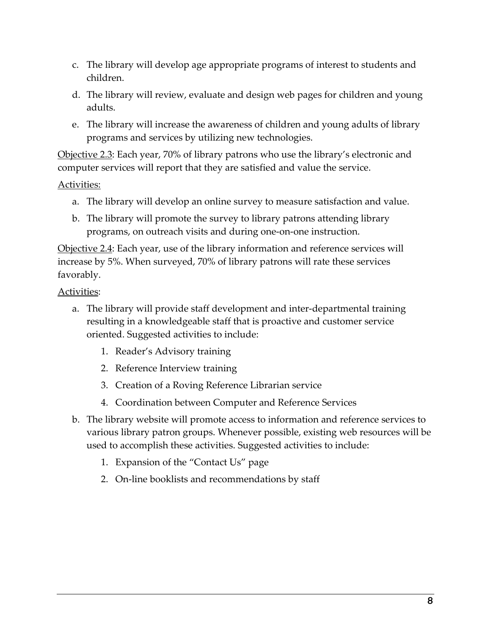- c. The library will develop age appropriate programs of interest to students and children.
- d. The library will review, evaluate and design web pages for children and young adults.
- e. The library will increase the awareness of children and young adults of library programs and services by utilizing new technologies.

Objective 2.3: Each year, 70% of library patrons who use the library's electronic and computer services will report that they are satisfied and value the service.

### Activities:

- a. The library will develop an online survey to measure satisfaction and value.
- b. The library will promote the survey to library patrons attending library programs, on outreach visits and during one‐on‐one instruction.

Objective 2.4: Each year, use of the library information and reference services will increase by 5%. When surveyed, 70% of library patrons will rate these services favorably.

- a. The library will provide staff development and inter‐departmental training resulting in a knowledgeable staff that is proactive and customer service oriented. Suggested activities to include:
	- 1. Reader's Advisory training
	- 2. Reference Interview training
	- 3. Creation of a Roving Reference Librarian service
	- 4. Coordination between Computer and Reference Services
- b. The library website will promote access to information and reference services to various library patron groups. Whenever possible, existing web resources will be used to accomplish these activities. Suggested activities to include:
	- 1. Expansion of the "Contact Us" page
	- 2. On-line booklists and recommendations by staff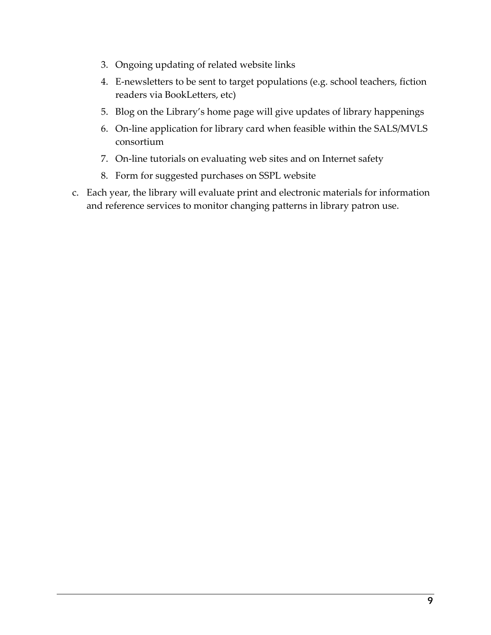- 3. Ongoing updating of related website links
- 4. E-newsletters to be sent to target populations (e.g. school teachers, fiction readers via BookLetters, etc)
- 5. Blog on the Library's home page will give updates of library happenings
- 6. On‐line application for library card when feasible within the SALS/MVLS consortium
- 7. On-line tutorials on evaluating web sites and on Internet safety
- 8. Form for suggested purchases on SSPL website
- c. Each year, the library will evaluate print and electronic materials for information and reference services to monitor changing patterns in library patron use.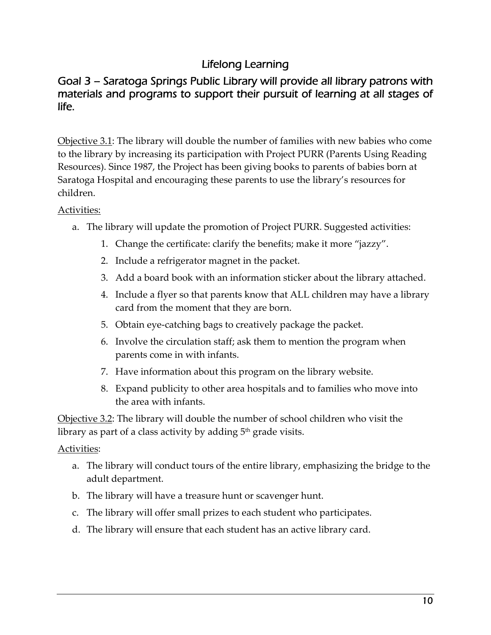# Lifelong Learning

### Goal 3 – Saratoga Springs Public Library will provide all library patrons with materials and programs to support their pursuit of learning at all stages of life.

Objective 3.1: The library will double the number of families with new babies who come to the library by increasing its participation with Project PURR (Parents Using Reading Resources). Since 1987, the Project has been giving books to parents of babies born at Saratoga Hospital and encouraging these parents to use the library's resources for children.

### Activities:

- a. The library will update the promotion of Project PURR. Suggested activities:
	- 1. Change the certificate: clarify the benefits; make it more "jazzy".
	- 2. Include a refrigerator magnet in the packet.
	- 3. Add a board book with an information sticker about the library attached.
	- 4. Include a flyer so that parents know that ALL children may have a library card from the moment that they are born.
	- 5. Obtain eye‐catching bags to creatively package the packet.
	- 6. Involve the circulation staff; ask them to mention the program when parents come in with infants.
	- 7. Have information about this program on the library website.
	- 8. Expand publicity to other area hospitals and to families who move into the area with infants.

Objective 3.2: The library will double the number of school children who visit the library as part of a class activity by adding  $5<sup>th</sup>$  grade visits.

- a. The library will conduct tours of the entire library, emphasizing the bridge to the adult department.
- b. The library will have a treasure hunt or scavenger hunt.
- c. The library will offer small prizes to each student who participates.
- d. The library will ensure that each student has an active library card.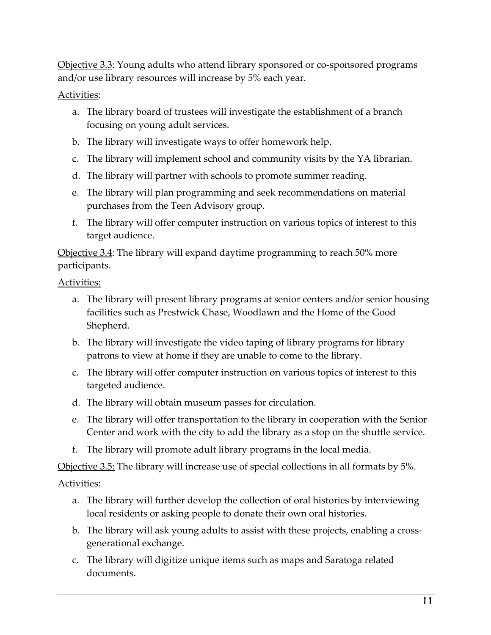Objective 3.3: Young adults who attend library sponsored or co‐sponsored programs and/or use library resources will increase by 5% each year.

#### Activities:

- a. The library board of trustees will investigate the establishment of a branch focusing on young adult services.
- b. The library will investigate ways to offer homework help.
- c. The library will implement school and community visits by the YA librarian.
- d. The library will partner with schools to promote summer reading.
- e. The library will plan programming and seek recommendations on material purchases from the Teen Advisory group.
- f. The library will offer computer instruction on various topics of interest to this target audience.

Objective 3.4: The library will expand daytime programming to reach 50% more participants.

Activities:

- a. The library will present library programs at senior centers and/or senior housing facilities such as Prestwick Chase, Woodlawn and the Home of the Good Shepherd.
- b. The library will investigate the video taping of library programs for library patrons to view at home if they are unable to come to the library.
- c. The library will offer computer instruction on various topics of interest to this targeted audience.
- d. The library will obtain museum passes for circulation.
- e. The library will offer transportation to the library in cooperation with the Senior Center and work with the city to add the library as a stop on the shuttle service.
- f. The library will promote adult library programs in the local media.

Objective 3.5: The library will increase use of special collections in all formats by 5%.

- a. The library will further develop the collection of oral histories by interviewing local residents or asking people to donate their own oral histories.
- b. The library will ask young adults to assist with these projects, enabling a crossgenerational exchange.
- c. The library will digitize unique items such as maps and Saratoga related documents.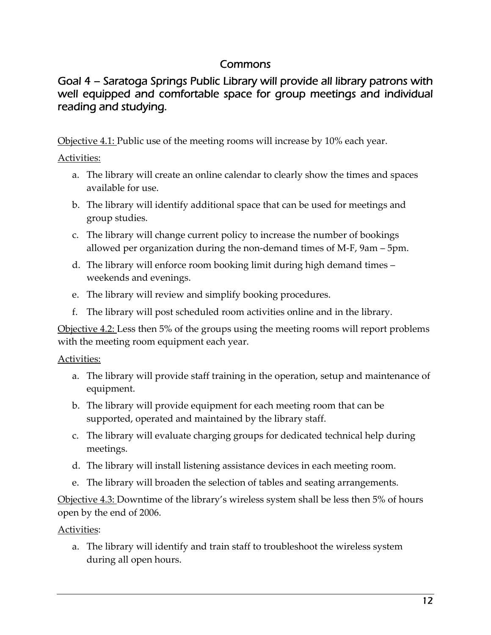### Commons

# Goal 4 – Saratoga Springs Public Library will provide all library patrons with well equipped and comfortable space for group meetings and individual reading and studying.

Objective 4.1: Public use of the meeting rooms will increase by 10% each year.

Activities:

- a. The library will create an online calendar to clearly show the times and spaces available for use.
- b. The library will identify additional space that can be used for meetings and group studies.
- c. The library will change current policy to increase the number of bookings allowed per organization during the non‐demand times of M‐F, 9am – 5pm.
- d. The library will enforce room booking limit during high demand times weekends and evenings.
- e. The library will review and simplify booking procedures.
- f. The library will post scheduled room activities online and in the library.

Objective 4.2: Less then 5% of the groups using the meeting rooms will report problems with the meeting room equipment each year.

Activities:

- a. The library will provide staff training in the operation, setup and maintenance of equipment.
- b. The library will provide equipment for each meeting room that can be supported, operated and maintained by the library staff.
- c. The library will evaluate charging groups for dedicated technical help during meetings.
- d. The library will install listening assistance devices in each meeting room.
- e. The library will broaden the selection of tables and seating arrangements.

Objective 4.3: Downtime of the library's wireless system shall be less then 5% of hours open by the end of 2006.

Activities:

a. The library will identify and train staff to troubleshoot the wireless system during all open hours.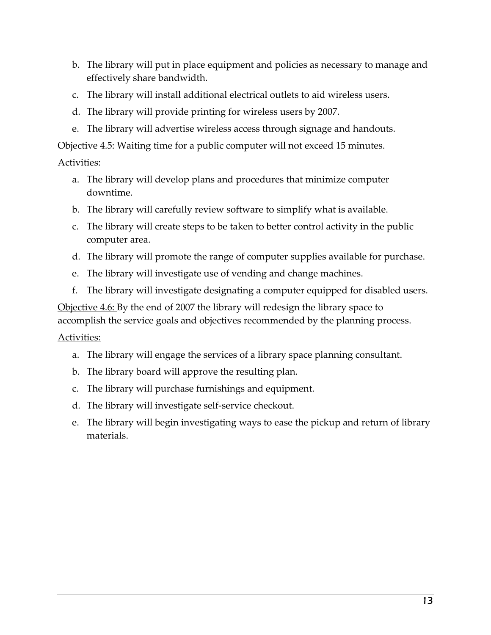- b. The library will put in place equipment and policies as necessary to manage and effectively share bandwidth.
- c. The library will install additional electrical outlets to aid wireless users.
- d. The library will provide printing for wireless users by 2007.
- e. The library will advertise wireless access through signage and handouts.

Objective 4.5: Waiting time for a public computer will not exceed 15 minutes.

#### Activities:

- a. The library will develop plans and procedures that minimize computer downtime.
- b. The library will carefully review software to simplify what is available.
- c. The library will create steps to be taken to better control activity in the public computer area.
- d. The library will promote the range of computer supplies available for purchase.
- e. The library will investigate use of vending and change machines.
- f. The library will investigate designating a computer equipped for disabled users.

Objective 4.6: By the end of 2007 the library will redesign the library space to accomplish the service goals and objectives recommended by the planning process.

- a. The library will engage the services of a library space planning consultant.
- b. The library board will approve the resulting plan.
- c. The library will purchase furnishings and equipment.
- d. The library will investigate self‐service checkout.
- e. The library will begin investigating ways to ease the pickup and return of library materials.